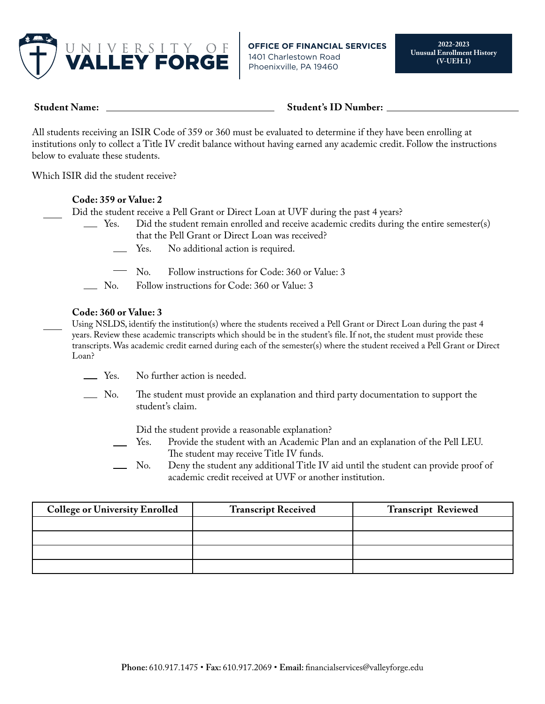

**OFFICE OF FINANCIAL SERVICES** 1401 Charlestown Road 1401 Charlestown Road Phoenixville, PA 19460 Phoenixville, PA 19460

**Student Name: Student's ID Number:**

All students receiving an ISIR Code of 359 or 360 must be evaluated to determine if they have been enrolling at institutions only to collect a Title IV credit balance without having earned any academic credit. Follow the instructions below to evaluate these students.

Which ISIR did the student receive?

## **Code: 359 or Value: 2**

Did the student receive a Pell Grant or Direct Loan at UVF during the past 4 years?<br>
Les. Did the student remain enrolled and receive academic credits during

- Did the student remain enrolled and receive academic credits during the entire semester(s) that the Pell Grant or Direct Loan was received?
	- Yes. No additional action is required.
	- No. Follow instructions for Code: 360 or Value: 3
- $\sim$  No. Follow instructions for Code: 360 or Value: 3

## **Code: 360 or Value: 3**

- Using NSLDS, identify the institution(s) where the students received a Pell Grant or Direct Loan during the past 4 years. Review these academic transcripts which should be in the student's file. If not, the student must provide these transcripts. Was academic credit earned during each of the semester(s) where the student received a Pell Grant or Direct Loan?
	- Yes. No further action is needed.
	- No. The student must provide an explanation and third party documentation to support the student's claim.

Did the student provide a reasonable explanation?

- Yes. Provide the student with an Academic Plan and an explanation of the Pell LEU. The student may receive Title IV funds.
- No. Deny the student any additional Title IV aid until the student can provide proof of academic credit received at UVF or another institution.

| <b>College or University Enrolled</b> | <b>Transcript Received</b> | <b>Transcript Reviewed</b> |  |
|---------------------------------------|----------------------------|----------------------------|--|
|                                       |                            |                            |  |
|                                       |                            |                            |  |
|                                       |                            |                            |  |
|                                       |                            |                            |  |